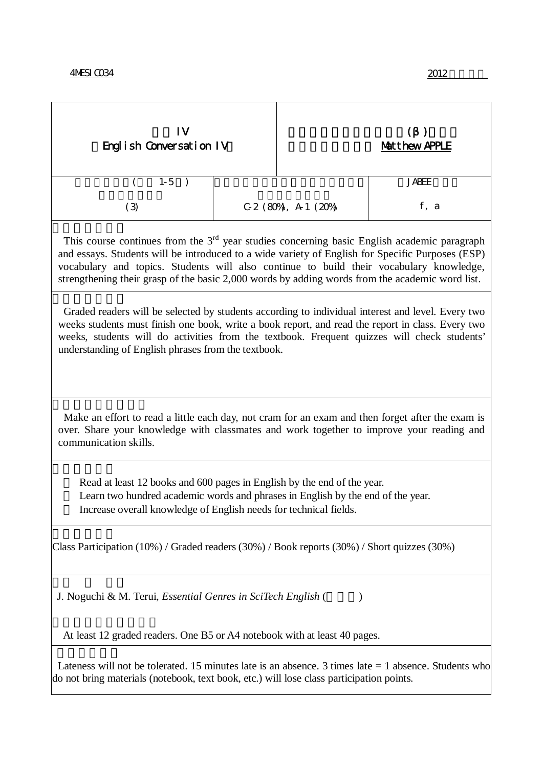| 1V<br>Engl i sh Conversation IV                                                                                                                                                                                                                                                                                                                                                                 |  | <b>Matthew APPLE</b>   |              |  |
|-------------------------------------------------------------------------------------------------------------------------------------------------------------------------------------------------------------------------------------------------------------------------------------------------------------------------------------------------------------------------------------------------|--|------------------------|--------------|--|
| $1-5$                                                                                                                                                                                                                                                                                                                                                                                           |  |                        | <b>JABEE</b> |  |
| (3)                                                                                                                                                                                                                                                                                                                                                                                             |  | $C.2$ (80%), A 1 (20%) | $f$ , a      |  |
| This course continues from the $3rd$ year studies concerning basic English academic paragraph<br>and essays. Students will be introduced to a wide variety of English for Specific Purposes (ESP)<br>vocabulary and topics. Students will also continue to build their vocabulary knowledge,<br>strengthening their grasp of the basic 2,000 words by adding words from the academic word list. |  |                        |              |  |
| Graded readers will be selected by students according to individual interest and level. Every two<br>weeks students must finish one book, write a book report, and read the report in class. Every two<br>weeks, students will do activities from the textbook. Frequent quizzes will check students'<br>understanding of English phrases from the textbook.                                    |  |                        |              |  |
| Make an effort to read a little each day, not cram for an exam and then forget after the exam is<br>over. Share your knowledge with classmates and work together to improve your reading and<br>communication skills.                                                                                                                                                                           |  |                        |              |  |
| Read at least 12 books and 600 pages in English by the end of the year.<br>Learn two hundred academic words and phrases in English by the end of the year.<br>Increase overall knowledge of English needs for technical fields.                                                                                                                                                                 |  |                        |              |  |
| Class Participation (10%) / Graded readers (30%) / Book reports (30%) / Short quizzes (30%)                                                                                                                                                                                                                                                                                                     |  |                        |              |  |
| J. Noguchi & M. Terui, <i>Essential Genres in SciTech English</i> (<br>$\mathcal{Y}$                                                                                                                                                                                                                                                                                                            |  |                        |              |  |
| At least 12 graded readers. One B5 or A4 notebook with at least 40 pages.                                                                                                                                                                                                                                                                                                                       |  |                        |              |  |
| Lateness will not be tolerated. 15 minutes late is an absence. 3 times late $= 1$ absence. Students who<br>do not bring materials (notebook, text book, etc.) will lose class participation points.                                                                                                                                                                                             |  |                        |              |  |